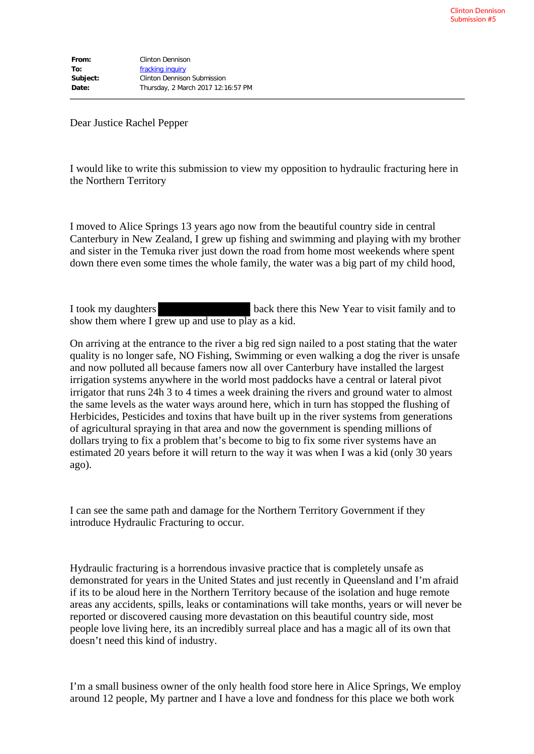Dear Justice Rachel Pepper

I would like to write this submission to view my opposition to hydraulic fracturing here in the Northern Territory

I moved to Alice Springs 13 years ago now from the beautiful country side in central Canterbury in New Zealand, I grew up fishing and swimming and playing with my brother and sister in the Temuka river just down the road from home most weekends where spent down there even some times the whole family, the water was a big part of my child hood,

I took my daughters back there this New Year to visit family and to show them where I grew up and use to play as a kid.

On arriving at the entrance to the river a big red sign nailed to a post stating that the water quality is no longer safe, NO Fishing, Swimming or even walking a dog the river is unsafe and now polluted all because famers now all over Canterbury have installed the largest irrigation systems anywhere in the world most paddocks have a central or lateral pivot irrigator that runs 24h 3 to 4 times a week draining the rivers and ground water to almost the same levels as the water ways around here, which in turn has stopped the flushing of Herbicides, Pesticides and toxins that have built up in the river systems from generations of agricultural spraying in that area and now the government is spending millions of dollars trying to fix a problem that's become to big to fix some river systems have an estimated 20 years before it will return to the way it was when I was a kid (only 30 years ago).

I can see the same path and damage for the Northern Territory Government if they introduce Hydraulic Fracturing to occur.

Hydraulic fracturing is a horrendous invasive practice that is completely unsafe as demonstrated for years in the United States and just recently in Queensland and I'm afraid if its to be aloud here in the Northern Territory because of the isolation and huge remote areas any accidents, spills, leaks or contaminations will take months, years or will never be reported or discovered causing more devastation on this beautiful country side, most people love living here, its an incredibly surreal place and has a magic all of its own that doesn't need this kind of industry.

I'm a small business owner of the only health food store here in Alice Springs, We employ around 12 people, My partner and I have a love and fondness for this place we both work